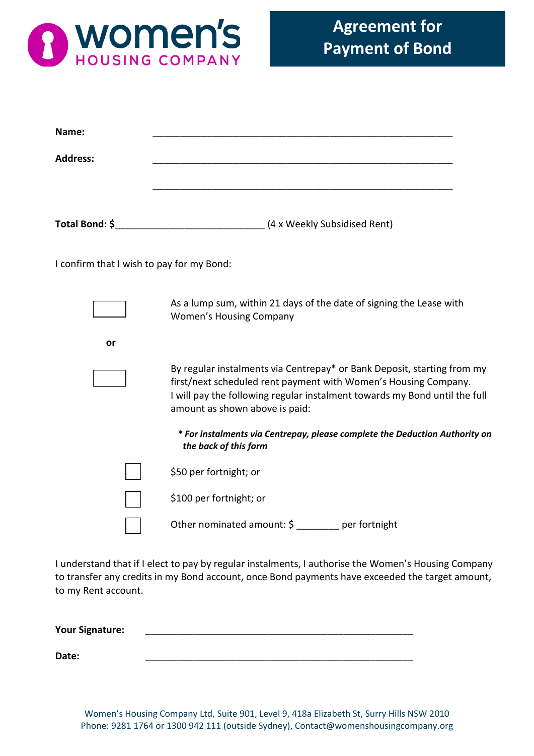

| Name:                                     |                                                                                                                                                                                                                                                            |
|-------------------------------------------|------------------------------------------------------------------------------------------------------------------------------------------------------------------------------------------------------------------------------------------------------------|
| <b>Address:</b>                           |                                                                                                                                                                                                                                                            |
|                                           |                                                                                                                                                                                                                                                            |
|                                           |                                                                                                                                                                                                                                                            |
| I confirm that I wish to pay for my Bond: |                                                                                                                                                                                                                                                            |
|                                           | As a lump sum, within 21 days of the date of signing the Lease with<br><b>Women's Housing Company</b>                                                                                                                                                      |
| or                                        |                                                                                                                                                                                                                                                            |
|                                           | By regular instalments via Centrepay* or Bank Deposit, starting from my<br>first/next scheduled rent payment with Women's Housing Company.<br>I will pay the following regular instalment towards my Bond until the full<br>amount as shown above is paid: |
|                                           | * For instalments via Centrepay, please complete the Deduction Authority on<br>the back of this form                                                                                                                                                       |
|                                           | \$50 per fortnight; or                                                                                                                                                                                                                                     |
|                                           | \$100 per fortnight; or                                                                                                                                                                                                                                    |
|                                           | Other nominated amount: \$ _______ per fortnight                                                                                                                                                                                                           |

I understand that if I elect to pay by regular instalments, I authorise the Women's Housing Company to transfer any credits in my Bond account, once Bond payments have exceeded the target amount, to my Rent account.

**Your Signature:** \_\_\_\_\_\_\_\_\_\_\_\_\_\_\_\_\_\_\_\_\_\_\_\_\_\_\_\_\_\_\_\_\_\_\_\_\_\_\_\_\_\_\_\_\_\_\_\_\_\_ **Date:** \_\_\_\_\_\_\_\_\_\_\_\_\_\_\_\_\_\_\_\_\_\_\_\_\_\_\_\_\_\_\_\_\_\_\_\_\_\_\_\_\_\_\_\_\_\_\_\_\_\_

Women's Housing Company Ltd, Suite 901, Level 9, 418a Elizabeth St, Surry Hills NSW 2010 Phone: 9281 1764 or 1300 942 111 (outside Sydney), Contact@womenshousingcompany.org